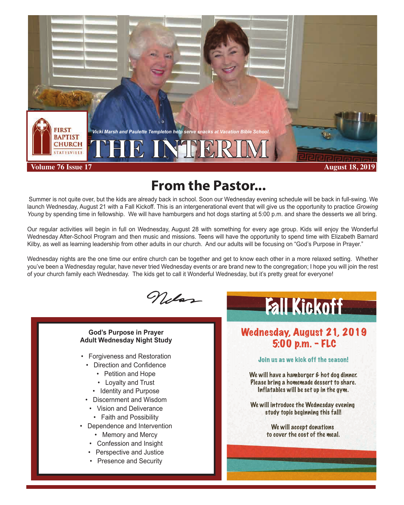

# **From the Pastor...**

 Summer is not quite over, but the kids are already back in school. Soon our Wednesday evening schedule will be back in full-swing. We launch Wednesday, August 21 with a Fall Kickoff. This is an intergenerational event that will give us the opportunity to practice *Growing Young* by spending time in fellowship. We will have hamburgers and hot dogs starting at 5:00 p.m. and share the desserts we all bring.

Our regular activities will begin in full on Wednesday, August 28 with something for every age group. Kids will enjoy the Wonderful Wednesday After-School Program and then music and missions. Teens will have the opportunity to spend time with Elizabeth Barnard Kilby, as well as learning leadership from other adults in our church. And our adults will be focusing on "God's Purpose in Prayer."

Wednesday nights are the one time our entire church can be together and get to know each other in a more relaxed setting. Whether you've been a Wednesday regular, have never tried Wednesday events or are brand new to the congregation; I hope you will join the rest of your church family each Wednesday. The kids get to call it Wonderful Wednesday, but it's pretty great for everyone!

Nelss

**God's Purpose in Prayer Adult Wednesday Night Study**

- Forgiveness and Restoration
	- Direction and Confidence
		- Petition and Hope
		- Loyalty and Trust
		- Identity and Purpose
	- Discernment and Wisdom
		- Vision and Deliverance
		- Faith and Possibility
- Dependence and Intervention
	- Memory and Mercy
	- Confession and Insight
	- Perspective and Justice
	- Presence and Security



## Wednesday, August 21, 2019 5:00 p.m. - FLC

## Join us as we kick off the season!

We will have a hamburger & hot dog dinner. Please bring a homemade dessert to share. Inflatables will be set up in the gym.

We will introduce the Wednesday evening study topic beginning this fall!

> We will accept donations to cover the cost of the meal.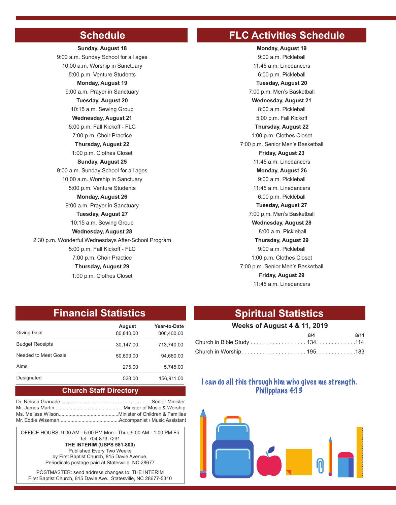**Sunday, August 18** 9:00 a.m. Vacation Bible School **Monday, August 19** 9:00 a.m. Sunday School for all ages 10:00 a.m. Worship in Sanctuary 5:00 p.m. Venture Students **Monday, August 19** 9:00 a.m. Prayer in Sanctuary **Tuesday, August 20** 10:15 a.m. Sewing Group **Wednesday, August 21** 5:00 p.m. Fall Kickoff - FLC 7:00 p.m. Choir Practice **Thursday, August 22** 1:00 p.m. Clothes Closet **Sunday, August 25** 9:00 a.m. Sunday School for all ages 10:00 a.m. Worship in Sanctuary 5:00 p.m. Venture Students **Monday, August 26** 9:00 a.m. Prayer in Sanctuary **Tuesday, August 27** 10:15 a.m. Sewing Group **Wednesday, August 28** 2:30 p.m. Wonderful Wednesdays After-School Program 5:00 p.m. Fall Kickoff - FLC 7:00 p.m. Choir Practice **Thursday, August 29** 1:00 p.m. Clothes Closet

## **Schedule FLC Activities Schedule**

9:00 a.m. Pickleball 11:45 a.m. Linedancers 6:00 p.m. Pickleball **Tuesday, August 20** 7:00 p.m. Men's Basketball **Wednesday, August 21** 8:00 a.m. Pickleball 5:00 p.m. Fall Kickoff **Thursday, August 22** 1:00 p.m. Clothes Closet 7:00 p.m. Senior Men's Basketball **Friday, August 23** 11:45 a.m. Linedancers **Monday, August 26** 9:00 a.m. Pickleball 11:45 a.m. Linedancers 6:00 p.m. Pickleball **Tuesday, August 27** 7:00 p.m. Men's Basketball **Wednesday, August 28** 8:00 a.m. Pickleball **Thursday, August 29** 9:00 a.m. Pickleball 1:00 p.m. Clothes Closet 7:00 p.m. Senior Men's Basketball **Friday, August 29** 11:45 a.m. Linedancers

## **Financial Statistics Spiritual Statistics**

|                        | August    | Year-to-Date<br>808.400.00 | <b>Weeks of August 4 &amp; 11, 2019</b>                                |     |      |
|------------------------|-----------|----------------------------|------------------------------------------------------------------------|-----|------|
| Giving Goal            | 80.840.00 |                            |                                                                        | 8/4 | 8/11 |
| <b>Budget Receipts</b> | 30.147.00 | 713.740.00                 | Church in Bible Study 134. 114                                         |     |      |
| Needed to Meet Goals   | 50.693.00 | 94.660.00                  |                                                                        |     |      |
| Alms                   | 275.00    | 5.745.00                   |                                                                        |     |      |
| Designated             | 528.00    | 156.911.00                 | والإستروبيلة وعبر ومبرئس ووابير ببرئول واستوسوالا ونابله أأوروك بروم ا |     |      |

## **Church Staff Directory**

OFFICE HOURS: 9:00 AM - 5:00 PM Mon - Thur, 9:00 AM - 1:00 PM Fri Tel: 704-873-7231 **THE INTERIM (USPS 581-800)** Published Every Two Weeks

by First Baptist Church, 815 Davie Avenue, Periodicals postage paid at Statesville, NC 28677

POSTMASTER: send address changes to: THE INTERIM First Baptist Church, 815 Davie Ave., Statesville, NC 28677-5310

## **Weeks of August 4 & 11, 2019**

|                                | R/A | 8/11 |
|--------------------------------|-----|------|
| Church in Bible Study 134. 114 |     |      |
|                                |     |      |

## I can do all this through him who gives me strength. Philippians 4:13

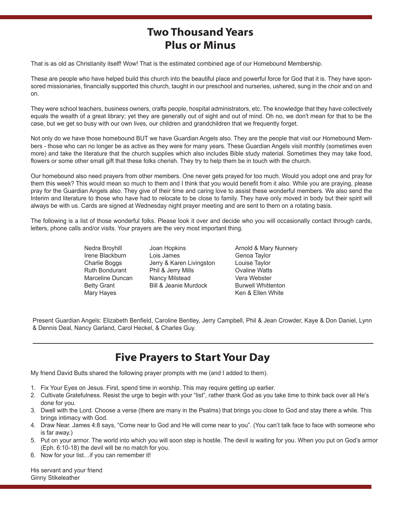## **Two Thousand Years Plus or Minus**

That is as old as Christianity itself! Wow! That is the estimated combined age of our Homebound Membership.

These are people who have helped build this church into the beautiful place and powerful force for God that it is. They have sponsored missionaries, financially supported this church, taught in our preschool and nurseries, ushered, sung in the choir and on and on.

They were school teachers, business owners, crafts people, hospital administrators, etc. The knowledge that they have collectively equals the wealth of a great library; yet they are generally out of sight and out of mind. Oh no, we don't mean for that to be the case, but we get so busy with our own lives, our children and grandchildren that we frequently forget.

Not only do we have those homebound BUT we have Guardian Angels also. They are the people that visit our Homebound Members - those who can no longer be as active as they were for many years. These Guardian Angels visit monthly (sometimes even more) and take the literature that the church supplies which also includes Bible study material. Sometimes they may take food, flowers or some other small gift that these folks cherish. They try to help them be in touch with the church.

Our homebound also need prayers from other members. One never gets prayed for too much. Would you adopt one and pray for them this week? This would mean so much to them and I think that you would benefit from it also. While you are praying, please pray for the Guardian Angels also. They give of their time and caring love to assist these wonderful members. We also send the Interim and literature to those who have had to relocate to be close to family. They have only moved in body but their spirit will always be with us. Cards are signed at Wednesday night prayer meeting and are sent to them on a rotating basis.

The following is a list of those wonderful folks. Please look it over and decide who you will occasionally contact through cards, letters, phone calls and/or visits. Your prayers are the very most important thing.

> Nedra Broyhill Irene Blackburn Charlie Boggs Ruth Bondurant Marceline Duncan Betty Grant Mary Hayes

Joan Hopkins Lois James Jerry & Karen Livingston Phil & Jerry Mills Nancy Milstead Bill & Jeanie Murdock

Arnold & Mary Nunnery Genoa Taylor Louise Taylor Ovaline Watts Vera Webster Burwell Whittenton Ken & Ellen White

Present Guardian Angels: Elizabeth Benfield, Caroline Bentley, Jerry Campbell, Phil & Jean Crowder, Kaye & Don Daniel, Lynn & Dennis Deal, Nancy Garland, Carol Heckel, & Charles Guy.

## **Five Prayers to Start Your Day**

My friend David Butts shared the following prayer prompts with me (and I added to them).

- 1. Fix Your Eyes on Jesus. First, spend time in worship. This may require getting up earlier.
- 2. Cultivate Gratefulness. Resist the urge to begin with your "list", rather thank God as you take time to think back over all He's done for you.
- 3. Dwell with the Lord. Choose a verse (there are many in the Psalms) that brings you close to God and stay there a while. This brings intimacy with God.
- 4. Draw Near. James 4:8 says, "Come near to God and He will come near to you". (You can't talk face to face with someone who is far away.)
- 5. Put on your armor. The world into which you will soon step is hostile. The devil is waiting for you. When you put on God's armor (Eph. 6:10-18) the devil will be no match for you.
- 6. Now for your list…if you can remember it!

His servant and your friend Ginny Stikeleather